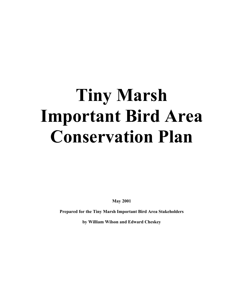# **Tiny Marsh Important Bird Area Conservation Plan**

**May 2001** 

**Prepared for the Tiny Marsh Important Bird Area Stakeholders** 

**by William Wilson and Edward Cheskey**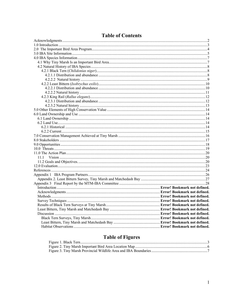| 11 1 |  |
|------|--|
|      |  |
|      |  |
|      |  |
|      |  |
|      |  |
|      |  |
|      |  |
|      |  |
|      |  |
|      |  |
|      |  |
|      |  |
|      |  |
|      |  |
|      |  |
|      |  |

## **Table of Contents**

# **Table of Figures**

| <b>LADIU VI FIGULUS</b> |  |
|-------------------------|--|
|                         |  |
|                         |  |
|                         |  |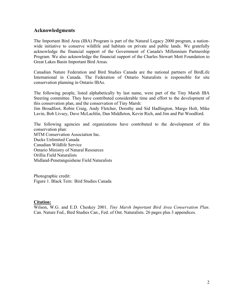## <span id="page-2-0"></span>**Acknowledgments**

The Important Bird Area (IBA) Program is part of the Natural Legacy 2000 program, a nationwide initiative to conserve wildlife and habitats on private and public lands. We gratefully acknowledge the financial support of the Government of Canada's Millennium Partnership Program. We also acknowledge the financial support of the Charles Stewart Mott Foundation to Great Lakes Basin Important Bird Areas.

Canadian Nature Federation and Bird Studies Canada are the national partners of BirdLife International in Canada. The Federation of Ontario Naturalists is responsible for site conservation planning in Ontario IBAs.

The following people, listed alphabetically by last name, were part of the Tiny Marsh IBA Steering committee. They have contributed considerable time and effort to the development of this conservation plan, and the conservation of Tiny Marsh:

Jim Broadfoot, Robin Craig, Andy Fletcher, Dorothy and Sid Hadlington, Margo Holt, Mike Lavin, Bob Livsey, Dave McLachlin, Dan Middleton, Kevin Rich, and Jim and Pat Woodford.

The following agencies and organizations have contributed to the development of this conservation plan: MTM Conservation Association Inc. Ducks Unlimited Canada Canadian Wildlife Service Ontario Ministry of Natural Resources Orillia Field Naturalists Midland-Penetanguishene Field Naturalists

Photographic credit: Figure 1. Black Tern: Bird Studies Canada

## **Citation:**

Wilson, W.G. and E.D. Cheskey 2001. *Tiny Marsh Important Bird Area Conservation Plan*. Can. Nature Fed., Bird Studies Can., Fed. of Ont. Naturalists. 26 pages plus 3 appendices.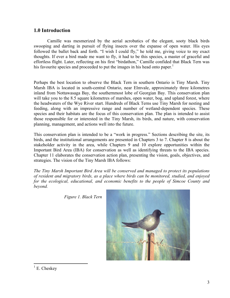## <span id="page-3-0"></span>**1.0 Introduction**

Camille was mesmerized by the aerial acrobatics of the elegant, sooty black birds swooping and darting in pursuit of flying insects over the expanse of open water. His eyes followed the ballet back and forth. "I wish I could fly," he told me, giving voice to my exact thoughts. If ever a bird made me want to fly, it had to be this species, a master of graceful and effortless flight. Later, reflecting on his first "birdathon," Camille confided that Black Tern was his favourite species and proceeded to put the images in his head onto paper.<sup>1</sup>

Perhaps the best location to observe the Black Tern in southern Ontario is Tiny Marsh. Tiny Marsh IBA is located in south-central Ontario, near Elmvale, approximately three kilometres inland from Nottawasaga Bay, the southernmost lobe of Georgian Bay. This conservation plan will take you to the 8.5 square kilometres of marshes, open water, bog, and upland forest, where the headwaters of the Wye River start. Hundreds of Black Terns use Tiny Marsh for nesting and feeding, along with an impressive range and number of wetland-dependent species. These species and their habitats are the focus of this conservation plan. The plan is intended to assist those responsible for or interested in the Tiny Marsh, its birds, and nature, with conservation planning, management, and actions well into the future.

This conservation plan is intended to be a "work in progress." Sections describing the site, its birds, and the institutional arrangements are presented in Chapters 3 to 7. Chapter 8 is about the stakeholder activity in the area, while Chapters 9 and 10 explore opportunities within the Important Bird Area (IBA) for conservation as well as identifying threats to the IBA species. Chapter 11 elaborates the conservation action plan, presenting the vision, goals, objectives, and strategies. The vision of the Tiny Marsh IBA follows:

*The Tiny Marsh Important Bird Area will be conserved and managed to protect its populations of resident and migratory birds, as a place where birds can be monitored, studied, and enjoyed for the ecological, educational, and economic benefits to the people of Simcoe County and beyond.* 

 *Figure 1. Black Tern* 



<span id="page-3-1"></span> $\frac{1}{1}$  E. Cheskey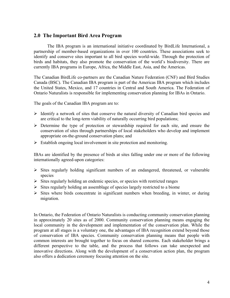## <span id="page-4-0"></span>**2.0 The Important Bird Area Program**

The IBA program is an international initiative coordinated by BirdLife International, a partnership of member-based organizations in over 100 countries. These associations seek to identify and conserve sites important to all bird species world-wide. Through the protection of birds and habitats, they also promote the conservation of the world's biodiversity. There are currently IBA programs in Europe, Africa, the Middle East, Asia, and the Americas.

The Canadian BirdLife co-partners are the Canadian Nature Federation (CNF) and Bird Studies Canada (BSC). The Canadian IBA program is part of the Americas IBA program which includes the United States, Mexico, and 17 countries in Central and South America. The Federation of Ontario Naturalists is responsible for implementing conservation planning for IBAs in Ontario.

The goals of the Canadian IBA program are to:

- $\triangleright$  Identify a network of sites that conserve the natural diversity of Canadian bird species and are critical to the long-term viability of naturally occurring bird populations;
- $\triangleright$  Determine the type of protection or stewardship required for each site, and ensure the conservation of sites through partnerships of local stakeholders who develop and implement appropriate on-the-ground conservation plans; and
- $\triangleright$  Establish ongoing local involvement in site protection and monitoring.

IBAs are identified by the presence of birds at sites falling under one or more of the following internationally agreed-upon categories:

- $\triangleright$  Sites regularly holding significant numbers of an endangered, threatened, or vulnerable species
- $\triangleright$  Sites regularly holding an endemic species, or species with restricted ranges
- $\triangleright$  Sites regularly holding an assemblage of species largely restricted to a biome
- $\triangleright$  Sites where birds concentrate in significant numbers when breeding, in winter, or during migration.

In Ontario, the Federation of Ontario Naturalists is conducting community conservation planning in approximately 20 sites as of 2000. Community conservation planning means engaging the local community in the development and implementation of the conservation plan. While the program at all stages is a voluntary one, the advantages of IBA recognition extend beyond those of conservation of IBA species. Community conservation planning means that people with common interests are brought together to focus on shared concerns. Each stakeholder brings a different perspective to the table, and the process that follows can take unexpected and innovative directions. Along with the development of a conservation action plan, the program also offers a dedication ceremony focusing attention on the site.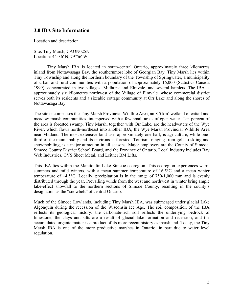## <span id="page-5-0"></span>**3.0 IBA Site Information**

Location and description

Site: Tiny Marsh, CAON025N Location: 44°36' N, 79°56' W

Tiny Marsh IBA is located in south-central Ontario, approximately three kilometres inland from Nottawasaga Bay, the southernmost lobe of Georgian Bay. Tiny Marsh lies within Tiny Township and along the northern boundary of the Township of Springwater, a municipality of urban and rural communities with a population of approximately 16,000 (Statistics Canada 1999), concentrated in two villages, Midhurst and Elmvale, and several hamlets. The IBA is approximately six kilometres northwest of the Village of Elmvale ,whose commercial district serves both its residents and a sizeable cottage community at Orr Lake and along the shores of Nottawasaga Bay.

The site encompasses the Tiny Marsh Provincial Wildlife Area, an 8.5 km<sup>2</sup> wetland of cattail and meadow marsh communities, interspersed with a few small areas of open water. Ten percent of the area is forested swamp. Tiny Marsh, together with Orr Lake, are the headwaters of the Wye River, which flows north-northeast into another IBA, the Wye Marsh Provincial Wildlife Area near Midland. The most extensive land use, approximately one half, is agriculture, while onethird of the municipality and its environs is forested. Tourism, ranging from golf to skiing and snowmobiling, is a major attraction in all seasons. Major employers are the County of Simcoe, Simcoe County District School Board, and the Province of Ontario. Local industry includes Bay Web Industries, GVS Sheet Metal, and Leitner BM Lifts.

This IBA lies within the Manitoulin-Lake Simcoe ecoregion. This ecoregion experiences warm summers and mild winters, with a mean summer temperature of 16.5°C and a mean winter temperature of –4.5°C. Locally, precipitation is in the range of 750-1,000 mm and is evenly distributed through the year. Prevailing winds from the west and northwest in winter bring ample lake-effect snowfall to the northern sections of Simcoe County, resulting in the county's designation as the "snowbelt" of central Ontario.

Much of the Simcoe Lowlands, including Tiny Marsh IBA, was submerged under glacial Lake Algonquin during the recession of the Wisconsin Ice Age. The soil composition of the IBA reflects its geological history: the carbonate-rich soil reflects the underlying bedrock of limestone; the clays and silts are a result of glacial lake formation and recession; and the accumulated organic matter is a product of its more recent history as marshland. Today, the Tiny Marsh IBA is one of the more productive marshes in Ontario, in part due to water level regulation.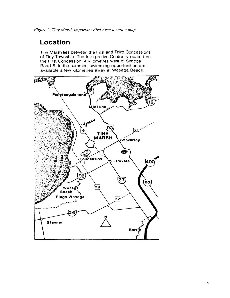# <span id="page-6-0"></span>**Location**

Tiny Marsh lies between the First and Third Concessions of Tiny Township. The Interpretive Centre is located on the First Concession, 4 kilometres west of Simcoe Road 6. In the summer, swimming opportunities are available a few kilometres away at Wasaga Beach.

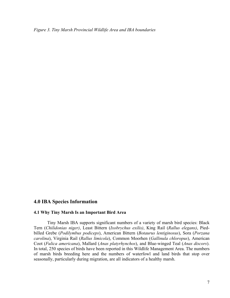<span id="page-7-0"></span>*Figure 3. Tiny Marsh Provincial Wildlife Area and IBA boundaries* 

## **4.0 IBA Species Information**

#### **4.1 Why Tiny Marsh Is an Important Bird Area**

Tiny Marsh IBA supports significant numbers of a variety of marsh bird species: Black Tern (*Chilidonias niger)*, Least Bittern (*Ixobrychus exilis)*, King Rail (*Rallus elegans)*, Piedbilled Grebe (*Podilymbus podiceps*), American Bittern (*Botaurus lentiginosus*), Sora (*Porzana carolina*), Virginia Rail (*Rallus limicola*), Common Moorhen (*Gallinula chloropus*), American Coot (*Fulica americana*), Mallard (*Anas platyrhynchos*), and Blue-winged Teal (*Anas discors*). In total, 250 species of birds have been reported in this Wildlife Management Area. The numbers of marsh birds breeding here and the numbers of waterfowl and land birds that stop over seasonally, particularly during migration, are all indicators of a healthy marsh.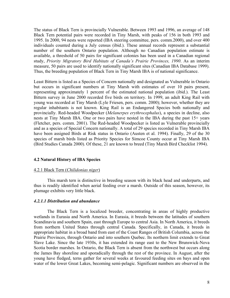<span id="page-8-0"></span>The status of Black Tern is provincially Vulnerable. Between 1993 and 1996, an average of 148 Black Tern potential pairs were recorded in Tiny Marsh, with peaks of 156 in both 1993 and 1995. In 2000, 94 nests were reported (IBA steering committee, pers. comm.2000), and over 400 individuals counted during a July census (ibid.). These annual records represent a substantial number of the southern Ontario population. Although no Canadian population estimate is available, a threshold of 50 pairs for significant colonies has been used in a Canadian regional study, *Priority Migratory Bird Habitats of Canada's Prairie Provinces, 1990*. As an interim measure, 50 pairs are used to identify nationally significant sites (Canadian IBA Database 1999). Thus, the breeding population of Black Tern in Tiny Marsh IBA is of national significance.

Least Bittern is listed as a Species of Concern nationally and designated as Vulnerable in Ontario but occurs in significant numbers at Tiny Marsh with estimates of over 10 pairs present, representing approximately 1 percent of the estimated national population (ibid.). The Least Bittern survey in June 2000 recorded five birds on territory. In 1999, an adult King Rail with young was recorded at Tiny Marsh (Lyle Friesen, pers. comm. 2000); however, whether they are regular inhabitants is not known. King Rail is an Endangered Species both nationally and provincially. Red-headed Woodpecker (*Melanerpes erythrocephalus*), a species in decline, also nests at Tiny Marsh IBA. One or two pairs have nested in the IBA during the past 15+ years (Fletcher, pers. comm. 2001). The Red-headed Woodpecker is listed as Vulnerable provincially and as a species of Special Concern nationally. A total of 29 species recorded in Tiny Marsh IBA have been assigned Birds at Risk status in Ontario (Austen et al. 1994). Finally, 29 of the 30 species of marsh birds listed as Priority Species for Simcoe County occur at Tiny Marsh IBA (Bird Studies Canada 2000). Of these, 21 are known to breed (Tiny Marsh Bird Checklist 1994).

## **4.2 Natural History of IBA Species**

## 4.2.1 Black Tern (*Chilidonias niger*)

This marsh tern is distinctive in breeding season with its black head and underparts, and thus is readily identified when aerial feeding over a marsh. Outside of this season, however, its plumage exhibits very little black.

## *4.2.1.1 Distribution and abundance*

The Black Tern is a localized breeder, concentrating in areas of highly productive wetlands in Eurasia and North America. In Eurasia, it breeds between the latitudes of southern Scandinavia and southern Spain, east through Europe to central Asia. In North America, it breeds from northern United States through central Canada. Specifically, in Canada, it breeds in appropriate habitat in a broad band from east of the Coast Ranges of British Columbia, across the Prairie Provinces, through Ontario and into southern Quebec. Its northern limit extends to Great Slave Lake. Since the late 1930s, it has extended its range east to the New Brunswick-Nova Scotia border marshes. In Ontario, the Black Tern is absent from the northwest but occurs along the James Bay shoreline and sporadically through the rest of the province. In August, after the young have fledged, terns gather for several weeks at favoured feeding sites on bays and open water of the lower Great Lakes, becoming semi-pelagic. Significant numbers are observed in the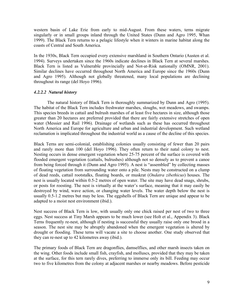<span id="page-9-0"></span>western basin of Lake Erie from early to mid-August. From these waters, terns migrate singularly or in small groups inland through the United States (Dunn and Agro 1995, Whan 1999). The Black Tern returns to a pelagic lifestyle when it winters in marine habitat along the coasts of Central and South America.

In the 1930s, Black Tern occupied every extensive marshland in Southern Ontario (Austen et al. 1994). Surveys undertaken since the 1960s indicate declines in Black Tern at several marshes. Black Tern is listed as Vulnerable provincially and Not-at-Risk nationally (OMNR, 2001). Similar declines have occurred throughout North America and Europe since the 1960s (Dunn and Agro 1995). Although not globally threatened, many local populations are declining throughout its range (del Hoyo 1996).

## *4.2.2.2 Natural history*

The natural history of Black Tern is thoroughly summarized by Dunn and Agro (1995). The habitat of the Black Tern includes freshwater marshes, sloughs, wet meadows, and swamps. This species breeds in cattail and bulrush marshes of at least five hectares in size, although those greater than 20 hectares are preferred provided that there are fairly extensive stretches of open water (Messier and Rail 1996). Drainage of wetlands such as these has occurred throughout North America and Europe for agriculture and urban and industrial development. Such wetland reclamation is implicated throughout the industrial world as a cause of the decline of this species.

Black Terns are semi-colonial, establishing colonies usually consisting of fewer than 20 pairs and rarely more than 100 (del Hoyo 1996). They often return to their natal colony to nest. Nesting occurs in dense emergent vegetation where 25-75 percent of the surface is covered with flooded emergent vegetation (cattails, bulrushes) although not so densely as to prevent a canoe from being forced through it (Dunn and Agro 1995). A nest is "assembled" by collecting masses of floating vegetation from surrounding water onto a pile. Nests may be constructed on a clump of dead reeds, cattail rootstalks, floating boards, or muskrat (*Ondatra zibethicus*) houses. The nest is usually located within 0.5-2 metres of open water. The site may have dead snags, shrubs, or posts for roosting. The nest is virtually at the water's surface, meaning that it may easily be destroyed by wind, wave action, or changing water levels. The water depth below the nest is usually 0.5-1.2 metres but may be less. The eggshells of Black Tern are unique and appear to be adapted to a moist nest environment (ibid.).

Nest success of Black Tern is low, with usually only one chick raised per nest of two to three eggs. Nest success at Tiny Marsh appears to be much lower (see Holt et al., Appendix 3). Black Terns frequently re-nest, although if nesting is successful they usually raise only one brood in a season. The nest site may be abruptly abandoned when the emergent vegetation is altered by drought or flooding. These terns will vacate a site to choose another. One study observed that they can re-nest up to 42 kilometres away (ibid.).

The primary foods of Black Tern are dragonflies, damselflies, and other marsh insects taken on the wing. Other foods include small fish, crayfish, and molluscs, provided that they may be taken at the surface, for this tern rarely dives, preferring to immerse only its bill. Feeding may occur two to five kilometres from the colony at adjacent marshes or nearby meadows. Before pesticide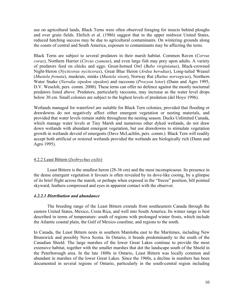<span id="page-10-0"></span>use on agricultural lands, Black Terns were often observed foraging for insects behind ploughs and over grain fields. Ehrlich et al. (1986) suggest that in the upper midwest United States, reduced hatching success may be due to agricultural contaminants. On wintering grounds along the coasts of central and South America, exposure to contaminants may be affecting the terns.

Black Terns are subject to several predators in their marsh habitat. Common Raven (*Corvus corax*), Northern Harrier (*Circus cyaneus*), and even large fish may prey upon adults. A variety of predators feed on chicks and eggs: Great-horned Owl (*Bubo virginianus*), Black-crowned Night-Heron (*Nycticorax nycticorax*), Great Blue Heron (*Ardea herodias*), Long-tailed Weasel (*Mustela frenata*), muskrats, minks (*Mustela vison*), Norway Rat (*Rattus norvegicus*), Northern Water Snake (*Nerodia sipedon sipedon*) and raccoons (*Procyon lotor*) (Dunn and Agro 1995, D.V. Weseloh, pers. comm. 2000). These terns can offer no defence against the mostly nocturnal predators listed above. Predators, particularly raccoons, may increase as the water level drops below 30 cm. Small colonies are subject to the highest levels of predation (del Hoyo 1996).

Wetlands managed for waterfowl are suitable for Black Tern colonies, provided that flooding or drawdowns do not negatively affect either emergent vegetation or nesting materials, and provided that water levels remain stable throughout the nesting season. Ducks Unlimited Canada, which manage water levels at Tiny Marsh and numerous other dyked wetlands, do not draw down wetlands with abundant emergent vegetation, but use drawdowns to stimulate vegetation growth in wetlands devoid of emergents (Dave McLachlin, pers. comm.). Black Tern will readily accept both artificial or restored wetlands provided the wetlands are biologically rich (Dunn and Agro 1995).

## 4.2.2 Least Bittern (*Ixobrychus exilis*)

Least Bittern is the smallest heron (28-36 cm) and the most inconspicuous. Its presence in the dense emergent vegetation it favours is often revealed by its dove-like cooing, by a glimpse of its brief flight across the marsh, or perhaps when exposed in the "freeze" position, bill pointed skyward, feathers compressed and eyes in apparent contact with the observer.

## *4.2.2.1 Distribution and abundance*

The breeding range of the Least Bittern extends from southeastern Canada through the eastern United States, Mexico, Costa Rica, and well into South America. Its winter range is best described in terms of temperature: south of regions with prolonged winter frosts, which include the Atlantic coastal plain, the Gulf of Mexico coastline, and regions to the south.

In Canada, the Least Bittern nests in southern Manitoba east to the Maritimes, including New Brunswick and possibly Nova Scotia. In Ontario, it breeds predominantly to the south of the Canadian Shield. The large marshes of the lower Great Lakes continue to provide the most extensive habitat, together with the smaller marshes that dot the landscape south of the Shield in the Peterborough area. In the late 1800s in Ontario, Least Bittern was locally common and abundant in marshes of the lower Great Lakes. Since the 1960s, a decline in numbers has been documented in several regions of Ontario, particularly in the south-central region including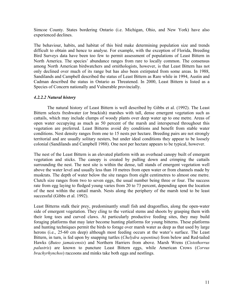<span id="page-11-0"></span>Simcoe County. States bordering Ontario (i.e. Michigan, Ohio, and New York) have also experienced declines.

The behaviour, habits, and habitat of this bird make determining population size and trends difficult to obtain and hence to analyse. For example, with the exception of Florida, Breeding Bird Surveys data have been too few to permit assessment of populations of Least Bittern in North America. The species' abundance ranges from rare to locally common. The consensus among North American birdwatchers and ornithologists, however, is that Least Bittern has not only declined over much of its range but has also been extirpated from some areas. In 1988, Sandilands and Campbell described the status of Least Bittern as Rare while in 1994, Austin and Cadman described the status in Ontario as Threatened. In 2000, Least Bittern is listed as a Species of Concern nationally and Vulnerable provincially.

## *4.2.2.2 Natural history*

The natural history of Least Bittern is well described by Gibbs et al. (1992). The Least Bittern selects freshwater (or brackish) marshes with tall, dense emergent vegetation such as cattails, which may include clumps of woody plants over deep water up to one metre. Areas of open water occupying as much as 50 percent of the marsh and interspersed throughout this vegetation are preferred. Least Bitterns avoid dry conditions and benefit from stable water conditions. Nest density ranges from one to 15 nests per hectare. Breeding pairs are not strongly territorial and are usually solitary nesters, but under ideal conditions they appear to be loosely colonial (Sandilands and Campbell 1988). One nest per hectare appears to be typical, however.

The nest of the Least Bittern is an elevated platform with an overhead canopy built of emergent vegetation and sticks. The canopy is created by pulling down and crimping the cattails surrounding the nest. The nest site is within the dense, tall stands of emergent vegetation well above the water level and usually less than 10 metres from open water or from channels made by muskrats. The depth of water below the site ranges from eight centimetres to almost one metre. Clutch size ranges from two to seven eggs, the usual number being three or four. The success rate from egg laying to fledged young varies from 20 to 73 percent, depending upon the location of the nest within the cattail marsh. Nests along the periphery of the marsh tend to be least successful (Gibbs et al. 1992).

Least Bitterns stalk their prey, predominantly small fish and dragonflies, along the open-water side of emergent vegetation. They cling to the vertical stems and shoots by grasping them with their long toes and curved claws. At particularly productive feeding sites, they may build foraging platforms that may later become hunting platforms for young bitterns. These platforms and hunting techniques permit the birds to forage over marsh water as deep as that used by large herons (i.e., 25-60 cm deep) although most feeding occurs at the water's surface. The Least Bittern, in turn, is fed upon by snapping turtles (*Chelydra sepentina*) from below and Red-tailed Hawks (*Buteo jamaicensis*) and Northern Harriers from above. Marsh Wrens (*Cistothorrus palustris*) are known to puncture Least Bittern eggs, while American Crows (*Corvus brachyrhynchos*) raccoons and minks take both eggs and nestlings.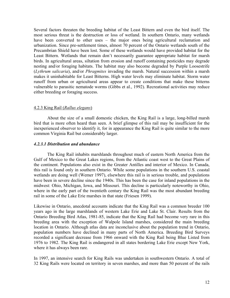<span id="page-12-0"></span>Several factors threaten the breeding habitat of the Least Bittern and even the bird itself. The most serious threat is the destruction or loss of wetland. In southern Ontario, many wetlands have been converted to other uses – the major ones being agricultural reclamation and urbanization. Since pre-settlement times, almost 70 percent of the Ontario wetlands south of the Precambrian Shield have been lost. Some of these wetlands would have provided habitat for the Least Bittern. Wetlands that remain don't necessarily guarantee appropriate habitat for marsh birds. In agricultural areas, siltation from erosion and runoff containing pesticides may degrade nesting and/or foraging habitats. The habitat may also become degraded by Purple Loosestrife (*Lythrum salicaria*), and/or *Phragmites* invading the marsh. Natural succession within a marsh makes it uninhabitable for Least Bitterns. High water levels may eliminate habitat. Storm water runoff from urban or agricultural areas appear to create conditions that make these bitterns vulnerable to parasitic nematode worms (Gibbs et al., 1992). Recreational activities may reduce either breeding or foraging success.

## 4.2.3 King Rail (*Rallus elegans*)

About the size of a small domestic chicken, the King Rail is a large, long-billed marsh bird that is more often heard than seen. A brief glimpse of this rail may be insufficient for the inexperienced observer to identify it, for in appearance the King Rail is quite similar to the more common Virginia Rail but considerably larger.

## *4.2.3.1 Distribution and abundance*

The King Rail inhabits marshlands throughout much of eastern North America from the Gulf of Mexico to the Great Lakes regions, from the Atlantic coast west to the Great Plains of the continent. Populations also exist in the Greater Antilles and interior of Mexico. In Canada, this rail is found only in southern Ontario. While some populations in the southern U.S. coastal wetlands are doing well (Wemer 1997), elsewhere this rail is in serious trouble, and populations have been in severe decline since the 1940s. This has been the case for inland populations in the midwest: Ohio, Michigan, Iowa, and Missouri. This decline is particularly noteworthy in Ohio, where in the early part of the twentieth century the King Rail was the most abundant breeding rail in some of the Lake Erie marshes in that state (Friesen 1999).

Likewise in Ontario, anecdotal accounts indicate that the King Rail was a common breeder 100 years ago in the large marshlands of western Lake Erie and Lake St. Clair. Results from the Ontario Breeding Bird Atlas, 1981-85, indicate that the King Rail had become very rare in this breeding area with the exception of Walpole Island marshes, considered the main breeding location in Ontario. Although atlas data are inconclusive about the population trend in Ontario, population numbers have declined in many parts of North America. Breeding Bird Surveys recorded a significant decrease from 1966 onward with the King Rail being Blue Listed from 1976 to 1982. The King Rail is endangered in all states bordering Lake Erie except New York, where it has always been rare.

In 1997, an intensive search for King Rails was undertaken in southwestern Ontario. A total of 32 King Rails were located on territory in seven marshes, and more than 50 percent of the rails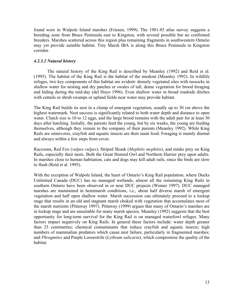<span id="page-13-0"></span>found were in Walpole Island marshes (Friesen, 1999). The 1981-85 atlas survey suggests a breeding zone from Bruce Peninsula east to Kingston, with several possible but no confirmed breeders. Marshes scattered across this region plus remaining fragments in southwestern Ontario may yet provide suitable habitat. Tiny Marsh IBA is along this Bruce Peninsula to Kingston corridor.

## *4.2.3.2 Natural history*

The natural history of the King Rail is described by Meanley (1992) and Reid et al. (1995). The habitat of the King Rail is the habitat of the muskrat (Meanley 1992). In wildlife refuges, two key components of this habitat are evident: densely vegetated sites with tussocks in shallow water for nesting and dry patches or swales of tall, dense vegetation for brood foraging and hiding during the mid-day (del Hoyo 1996). Even shallow water in broad roadside ditches with cattails or shrub swamps or upland fields near water may provide habitat.

The King Rail builds its nest in a clump of emergent vegetation, usually up to 30 cm above the highest watermark. Nest success is significantly related to both water depth and distance to open water. Clutch size is 10 to 12 eggs, and the large brood remains with the adult pair for at least 30 days after hatching. Initially, the parents feed the young, but by six weeks, the young are feeding themselves, although they remain in the company of their parents (Meanley 1992). While King Rails are omnivores, crayfish and aquatic insects are their main food. Foraging is mainly diurnal and always within a few steps from cover.

Raccoons, Red Fox (*vulpes vulpes*), Striped Skunk (*Mephitis mephitis*), and minks prey on King Rails, especially their nests. Both the Great Horned Owl and Northern Harrier prey upon adults. In marshes close to human habitation, cats and dogs may kill adult rails, since the birds are slow to flush (Reid et al. 1995).

With the exception of Walpole Island, the heart of Ontario's King Rail population, where Ducks Unlimited Canada (DUC) has no managed wetlands, almost all the remaining King Rails in southern Ontario have been observed in or near DUC projects (Wemer 1997). DUC managed marshes are maintained in hemimarsh conditions, i.e., about half diverse marsh of emergent vegetation and half open shallow water. Marsh succession can ultimately proceed to a lockup stage that results in an old and stagnant marsh choked with vegetation that accumulates most of the marsh nutrients (Pittaway 1997). Pittaway (1999) argues that many of Ontario's marshes are in lockup stage and are unsuitable for many marsh species. Meanley (1992) suggests that the best opportunity for long-term survival for the King Rail is on managed waterfowl refuges. Many factors impact negatively on King Rails. In general these factors include: water depth greater than 25 centimetres; chemical contaminants that reduce crayfish and aquatic insects; high numbers of mammalian predators which cause nest failure, particularly in fragmented marshes; and *Phragmites* and Purple Loosestrife (*Lythrum salicaria*), which compromise the quality of the habitat.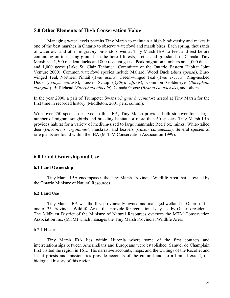## <span id="page-14-0"></span>**5.0 Other Elements of High Conservation Value**

Managing water levels permits Tiny Marsh to maintain a high biodiversity and makes it one of the best marshes in Ontario to observe waterfowl and marsh birds. Each spring, thousands of waterfowl and other migratory birds stop over at Tiny Marsh IBA to feed and rest before continuing on to nesting grounds in the boreal forests, arctic, and grasslands of Canada. Tiny Marsh has 1,500 resident ducks and 800 resident geese. Peak migration numbers are 4,000 ducks and 1,000 geese (Lake St. Clair Technical Committee of the Ontario Eastern Habitat Joint Venture 2000). Common waterfowl species include Mallard, Wood Duck (*Anas sponsa*), Bluewinged Teal, Northern Pintail (*Anas acuta*), Green-winged Teal (*Anas crecca*), Ring-necked Duck (*Aythya collaris*), Lesser Scaup (*Aythya affinis*), Common Goldeneye (*Bucephala clangula*), Bufflehead (*Bucephala albeola*), Canada Goose (*Branta canadensis*), and others.

In the year 2000, a pair of Trumpeter Swans (*Cygnus buccinator*) nested at Tiny Marsh for the first time in recorded history (Middleton, 2001 pers. comm.).

With over 250 species observed in this IBA, Tiny Marsh provides both stopover for a large number of migrant songbirds and breeding habitat for more than 60 species. Tiny Marsh IBA provides habitat for a variety of medium-sized to large mammals: Red Fox, minks, White-tailed deer (*Odocoileus virginianus*), muskrats, and beavers (*Castor canadensis*). Several species of rare plants are found within the IBA (M-T-M Conservation Association 1999).

## **6.0 Land Ownership and Use**

## **6.1 Land Ownership**

Tiny Marsh IBA encompasses the Tiny Marsh Provincial Wildlife Area that is owned by the Ontario Ministry of Natural Resources.

## **6.2 Land Use**

Tiny Marsh IBA was the first provincially owned and managed wetland in Ontario. It is one of 33 Provincial Wildlife Areas that provide for recreational day use by Ontario residents. The Midhurst District of the Ministry of Natural Resources oversees the MTM Conservation Association Inc. (MTM) which manages the Tiny Marsh Provincial Wildlife Area.

## 6.2.1 Historical

Tiny Marsh IBA lies within Huronia where some of the first contacts and interrelationships between Amerindians and Europeans were established. Samuel de Champlain first visited the region in 1615. His narrative accounts, maps, and the writings of the Recollet and Jesuit priests and missionaries provide accounts of the cultural and, to a limited extent, the biological history of this region.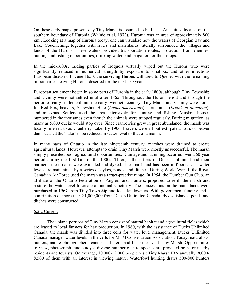<span id="page-15-0"></span>On these early maps, present-day Tiny Marsh is assumed to be Lacus Anaouites, located on the southern boundary of Huronia (Wainio et al. 1973). Huronia was an area of approximately 800 km². Looking at a map of Huronia today, one can visualize how the waters of Georgian Bay and Lake Couchiching, together with rivers and marshlands, literally surrounded the villages and lands of the Hurons. These waters provided transportation routes, protection from enemies, hunting and fishing opportunities, drinking water, and irrigation for their crops.

In the mid-1600s, raiding parties of Iroquois virtually wiped out the Hurons who were significantly reduced in numerical strength by exposure to smallpox and other infectious European diseases. In June 1650, the surviving Hurons withdrew to Quebec with the remaining missionaries, leaving Huronia deserted for the next 150 years.

European settlement began in some parts of Huronia in the early 1800s, although Tiny Township and vicinity were not settled until after 1865. Throughout the Huron period and through the period of early settlement into the early twentieth century, Tiny Marsh and vicinity were home for Red Fox, beavers, Snowshoe Hare (*Lepus americanus*), porcupines (*Erethizon dorsatum*), and muskrats. Settlers used the area extensively for hunting and fishing. Muskrat houses numbered in the thousands even though the animals were trapped regularly. During migration, as many as 5,000 ducks would stop over. Since cranberries grew in great abundance, the marsh was locally referred to as Cranberry Lake. By 1900, beavers were all but extirpated. Loss of beaver dams caused the "lake" to be reduced in water level to that of a marsh.

In many parts of Ontario in the late nineteenth century, marshes were drained to create agricultural lands. However, attempts to drain Tiny Marsh were mostly unsuccessful. The marsh simply presented poor agricultural opportunities. Drainage and damming occurred over a 60-year period during the first half of the 1900s. Through the efforts of Ducks Unlimited and their partners, these dams were extended and dyked. The marshland has been re-flooded and water levels are maintained by a series of dykes, ponds, and ditches. During World War II, the Royal Canadian Air Force used the marsh as a target-practise range. In 1954, the Humber Gun Club, an affiliate of the Ontario Federation of Anglers and Hunters, proposed to refill the marsh and restore the water level to create an animal sanctuary. The concessions on the marshlands were purchased in 1967 from Tiny Township and local landowners. With government funding and a contribution of more than \$1,000,000 from Ducks Unlimited Canada, dykes, islands, ponds and ditches were constructed.

## 6.2.2 Current

The upland portions of Tiny Marsh consist of natural habitat and agricultural fields which are leased to local farmers for hay production. In 1980, with the assistance of Ducks Unlimited Canada, the marsh was divided into three cells for water level management. Ducks Unlimited Canada manages water levels in the cells for MTM Conservation Association. Today, naturalists, hunters, nature photographers, canoeists, hikers, and fishermen visit Tiny Marsh. Opportunities to view, photograph, and study a diverse number of bird species are provided both for nearby residents and tourists. On average, 10,000-12,000 people visit Tiny Marsh IBA annually, 8,000- 8,500 of them with an interest in viewing nature. Waterfowl hunting draws 500-800 hunters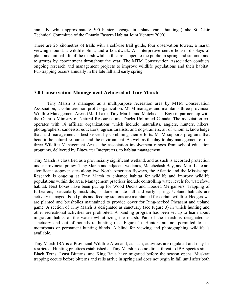<span id="page-16-0"></span>annually, while approximately 500 hunters engage in upland game hunting (Lake St. Clair Technical Committee of the Ontario Eastern Habitat Joint Venture 2000).

There are 25 kilometres of trails with a self-use trail guide, four observation towers, a marsh viewing mound, a wildlife blind, and a boardwalk. An interpretive centre houses displays of plant and animal life of the marsh while a theatre is open to the public in spring and summer and to groups by appointment throughout the year. The MTM Conservation Association conducts ongoing research and management projects to improve wildlife populations and their habitat. Fur-trapping occurs annually in the late fall and early spring.

## **7.0 Conservation Management Achieved at Tiny Marsh**

Tiny Marsh is managed as a multipurpose recreation area by MTM Conservation Association, a volunteer non-profit organization. MTM manages and maintains three provincial Wildlife Management Areas (Marl Lake, Tiny Marsh, and Matchedash Bay) in partnership with the Ontario Ministry of Natural Resources and Ducks Unlimited Canada. The association cooperates with 18 affiliate organizations which include naturalists, anglers, hunters, hikers, photographers, canoeists, educators, agriculturalists, and dog-trainers, all of whom acknowledge that land management is best served by combining their efforts. MTM supports programs that benefit the natural resources and the environment. As well as the day-to-day management of the three Wildlife Management Areas, the association involvement ranges from school education programs, delivered by Bluewater Interpreters, to habitat management.

Tiny Marsh is classified as a provincially significant wetland, and as such is accorded protection under provincial policy. Tiny Marsh and adjacent wetlands, Matchedash Bay, and Marl Lake are significant stopover sites along two North American flyways, the Atlantic and the Mississippi. Research is ongoing at Tiny Marsh to enhance habitat for wildlife and improve wildlife populations within the area. Management practices include controlling water levels for waterfowl habitat. Nest boxes have been put up for Wood Ducks and Hooded Mergansers. Trapping of furbearers, particularly muskrats, is done in late fall and early spring. Upland habitats are actively managed. Food plots and feeding stations are maintained for certain wildlife. Hedgerows are planted and brushpiles maintained to provide cover for Ring-necked Pheasant and upland game. A section of Tiny Marsh is designated as sanctuary (see Figure 3) in which hunting and other recreational activities are prohibited. A banding program has been set up to learn about migration habits of the waterfowl utilizing the marsh. Part of the marsh is designated as sanctuary and out of bounds to hunting (see Figure 1). Hunters are not permitted to use motorboats or permanent hunting blinds. A blind for viewing and photographing wildlife is available.

Tiny Marsh IBA is a Provincial Wildlife Area and, as such, activities are regulated and may be restricted. Hunting practices established at Tiny Marsh pose no direct threat to IBA species since Black Terns, Least Bitterns, and King Rails have migrated before the season opens. Muskrat trapping occurs before bitterns and rails arrive in spring and does not begin in fall until after both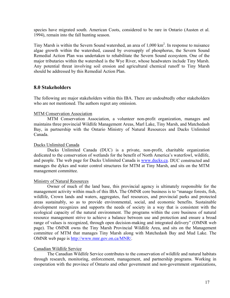<span id="page-17-0"></span>species have migrated south. American Coots, considered to be rare in Ontario (Austen et al. 1994), remain into the fall hunting season.

Tiny Marsh is within the Severn Sound watershed, an area of  $1,000 \text{ km}^2$ . In response to nuisance algae growth within the watershed, caused by oversupply of phosphorus, the Severn Sound Remedial Action Plan was undertaken to rehabilitate the Severn Sound ecosystem. One of the major tributaries within the watershed is the Wye River, whose headwaters include Tiny Marsh. Any potential threat involving soil erosion and agricultural chemical runoff to Tiny Marsh should be addressed by this Remedial Action Plan.

## **8.0 Stakeholders**

The following are major stakeholders within this IBA. There are undoubtedly other stakeholders who are not mentioned. The authors regret any omission.

## MTM Conservation Association

MTM Conservation Association, a volunteer non-profit organization, manages and maintains three provincial Wildlife Management Areas, Marl Lake, Tiny Marsh, and Matchedash Bay, in partnership with the Ontario Ministry of Natural Resources and Ducks Unlimited Canada.

## Ducks Unlimited Canada

Ducks Unlimited Canada (DUC) is a private, non-profit, charitable organization dedicated to the conservation of wetlands for the benefit of North America's waterfowl, wildlife, and people. The web page for Ducks Unlimited Canada is [www.ducks.ca](http://www.ducks.org/conservation/canada.asp). DUC constructed and manages the dykes and water control structures for MTM at Tiny Marsh, and sits on the MTM management committee.

## Ministry of Natural Resources

Owner of much of the land base, this provincial agency is ultimately responsible for the management activity within much of this IBA. The OMNR core business is to "manage forests, fish, wildlife, Crown lands and waters, aggregates, fuel resources, and provincial parks and protected areas sustainably, so as to provide environmental, social, and economic benefits. Sustainable development recognizes and supports the needs of society in a way that is consistent with the ecological capacity of the natural environment. The programs within the core business of natural resource management strive to achieve a balance between use and protection and ensure a broad range of values is recognized, through open decision-making and integrated delivery" (OMNR web page). The OMNR owns the Tiny Marsh Provincial Wildlife Area, and sits on the Management committee of MTM that manages Tiny Marsh along with Matchedash Bay and Mud Lake. The OMNR web page is <http://www.mnr.gov.on.ca/MNR/>.

## Canadian Wildlife Service

The Canadian Wildlife Service contributes to the conservation of wildlife and natural habitats through research, monitoring, enforcement, management, and partnership programs. Working in cooperation with the province of Ontario and other government and non-government organizations,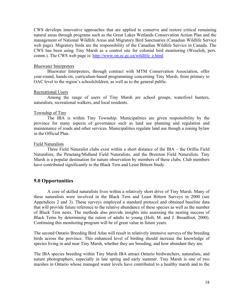<span id="page-18-0"></span>CWS develops innovative approaches that are applied to conserve and restore critical remaining natural areas through programs such as the Great Lakes Wetlands Conservation Action Plan and the management of National Wildlife Areas and Migratory Bird Sanctuaries (Canadian Wildlife Service web page). Migratory birds are the responsibility of the Canadian Wildlife Service in Canada. The CWS has been using Tiny Marsh as a control site for colonial bird monitoring (Weseloh, pers. comm.). The CWS web page is: [http://www.on.ec.gc.ca/wildlife\\_e.html](http://www.on.ec.gc.ca/wildlife_e.html)

#### Bluewater Interpreters

Bluewater Interpreters, through contract with MTM Conservation Association, offer year-round, hands-on, curriculum-based programming concerning Tiny Marsh, from primary to OAC level to the region's schoolchildren, as well as to the general public.

#### Recreational Users

Among the range of users of Tiny Marsh are school groups, waterfowl hunters, naturalists, recreational walkers, and local residents.

#### Township of Tiny

The IBA is within Tiny Township. Municipalities are given responsibility by the province for many aspects of governance such as land use planning and regulation and maintenance of roads and other services. Municipalities regulate land use though a zoning bylaw in the Official Plan.

#### Field Naturalists

Three Field Naturalist clubs exist within a short distance of the IBA – the Orillia Field Naturalists, the Penetang/Midland Field Naturalists, and the Brereton Field Naturalists. Tiny Marsh is a popular destination for nature observation by members of these clubs. Club members have contributed significantly to the Black Tern and Least Bittern Study.

## **9.0 Opportunities**

A core of skilled naturalists lives within a relatively short drive of Tiny Marsh. Many of these naturalists were involved in the Black Tern and Least Bittern Surveys in 2000 (see Appendices 2 and 3). These surveys employed a standard protocol and obtained baseline data that will provide future reference to the relative abundance of these species as well as the number of Black Tern nests. The methods also provide insights into assessing the nesting success of Black Terns by determining the ration of adults to young (Holt, M. and J. Broadfoot, 2000). Continuing this monitoring program will be of great value in future years.

The second Ontario Breeding Bird Atlas will result in relatively intensive surveys of the breeding birds across the province. This enhanced level of birding should increase the knowledge of species living in and near Tiny Marsh, whether they are breeding, and how abundant they are.

The IBA species breeding within Tiny Marsh IBA attract Ontario birdwatchers, naturalists, and nature photographers, especially in late spring and early summer. Tiny Marsh is one of two marshes in Ontario whose managed water levels have contributed to a healthy marsh and to the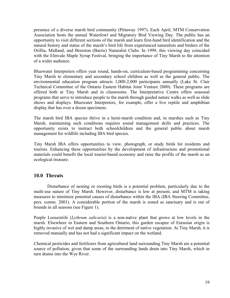<span id="page-19-0"></span>presence of a diverse marsh bird community (Pittaway 1997). Each April, MTM Conservation Association hosts the annual Waterfowl and Migratory Bird Viewing Day. The public has an opportunity to visit different sections of the marsh and learn first-hand bird identification and the natural history and status of the marsh's bird life from experienced naturalists and birders of the Orillia, Midland, and Brereton (Barrie) Naturalist Clubs. In 1999, this viewing day coincided with the Elmvale Maple Syrup Festival, bringing the importance of Tiny Marsh to the attention of a wider audience.

Bluewater Interpreters offers year round, hands-on, curriculum-based programming concerning Tiny Marsh to elementary and secondary school children as well as the general public. The environmental education program attracts 1,000-2,000 participants annually (Lake St. Clair Technical Committee of the Ontario Eastern Habitat Joint Venture 2000). These programs are offered both at Tiny Marsh and in classrooms. The Interpretative Centre offers seasonal programs that serve to introduce people to the marsh through guided nature walks as well as slide shows and displays. Bluewater Interpreters, for example, offer a live reptile and amphibian display that has over a dozen specimens.

The marsh bird IBA species thrive in a hemi-marsh condition and, in marshes such as Tiny Marsh, maintaining such conditions requires sound management skills and practices. The opportunity exists to instruct both schoolchildren and the general public about marsh management for wildlife including IBA bird species.

Tiny Marsh IBA offers opportunities to view, photograph, or study birds for residents and tourists. Enhancing these opportunities by the development of infrastructure and promotional materials could benefit the local tourist-based economy and raise the profile of the marsh as an ecological treasure.

## **10.0 Threats**

Disturbance of nesting or roosting birds is a potential problem, particularly due to the multi-use nature of Tiny Marsh. However, disturbance is low at present, and MTM is taking measures to minimize potential causes of disturbance within the IBA (IBA Steering Committee, pers. comm. 2001). A considerable portion of the marsh is zoned as sanctuary and is out of bounds in all seasons (see Figure 1).

Purple Loosestrife (*Lythrum salicaria*) is a non-native plant that grows at low levels in the marsh. Elsewhere in Eastern and Southern Ontario, this garden escapee of Eurasian origin is highly invasive of wet and damp areas, to the detriment of native vegetation. At Tiny Marsh, it is removed manually and has not had a significant impact on the wetland.

Chemical pesticides and fertilizers from agricultural land surrounding Tiny Marsh are a potential source of pollution, given that some of the surrounding lands drain into Tiny Marsh, which in turn drains into the Wye River.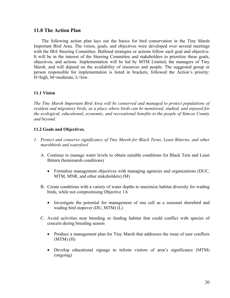## <span id="page-20-0"></span>**11.0 The Action Plan**

The following action plan lays out the basics for bird conservation in the Tiny Marsh Important Bird Area. The vision, goals, and objectives were developed over several meetings with the IBA Steering Committee. Bulleted strategies or actions follow each goal and objective. It will be in the interest of the Steering Committee and stakeholders to prioritize these goals, objectives, and actions. Implementation will be led by MTM Limited, the managers of Tiny Marsh, and will depend on the availability of resources and people. The suggested group or person responsible for implementation is listed in brackets, followed the Action's priority: H=high, M=moderate, L=low.

## **11.1 Vision**

*The Tiny Marsh Important Bird Area will be conserved and managed to protect populations of resident and migratory birds, as a place where birds can be monitored, studied, and enjoyed for the ecological, educational*, *economic, and recreational benefits to the people of Simcoe County and beyond.* 

## **11.2 Goals and Objectives.**

- *1. Protect and conserve significance of Tiny Marsh for Black Terns, Least Bitterns, and other marshbirds and waterfowl* 
	- A. Continue to manage water levels to obtain suitable conditions for Black Tern and Least Bittern (hemimarsh conditions)
		- Formalize management objectives with managing agencies and organizations (DUC, MTM, MNR, and other stakeholders) (M)
	- B. Create conditions with a variety of water depths to maximize habitat diversity for wading birds, while not compromising Objective 1A
		- Investigate the potential for management of one cell as a seasonal shorebird and wading bird stopover (DU, MTM) (L)
	- C. Avoid activities near breeding or feeding habitat that could conflict with species of concern during breeding season
		- Produce a management plan for Tiny Marsh that addresses the issue of user conflicts (MTM) (H)
		- Develop educational signage to inform visitors of area's significance (MTM) (ongoing)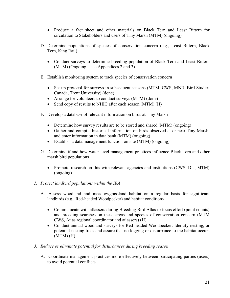- Produce a fact sheet and other materials on Black Tern and Least Bittern for circulation to Stakeholders and users of Tiny Marsh (MTM) (ongoing)
- D. Determine populations of species of conservation concern (e.g., Least Bittern, Black Tern, King Rail)
	- Conduct surveys to determine breeding population of Black Tern and Least Bittern (MTM) (Ongoing – see Appendices 2 and 3)
- E. Establish monitoring system to track species of conservation concern
	- Set up protocol for surveys in subsequent seasons (MTM, CWS, MNR, Bird Studies Canada, Trent University) (done)
	- Arrange for volunteers to conduct surveys (MTM) (done)
	- Send copy of results to NHIC after each season (MTM) (H)
- F. Develop a database of relevant information on birds at Tiny Marsh
	- Determine how survey results are to be stored and shared (MTM) (ongoing)
	- Gather and compile historical information on birds observed at or near Tiny Marsh, and enter information in data bank (MTM) (ongoing)
	- Establish a data management function on site (MTM) (ongoing)
- G. Determine if and how water level management practices influence Black Tern and other marsh bird populations
	- Promote research on this with relevant agencies and institutions (CWS, DU, MTM) (ongoing)

## *2. Protect landbird populations within the IBA*

- A. Assess woodland and meadow/grassland habitat on a regular basis for significant landbirds (e.g., Red-headed Woodpecker) and habitat conditions
	- Communicate with atlassers during Breeding Bird Atlas to focus effort (point counts) and breeding searches on these areas and species of conservation concern (MTM CWS, Atlas regional coordinator and atlassers) (H)
	- Conduct annual woodland surveys for Red-headed Woodpecker. Identify nesting, or potential nesting trees and assure that no logging or disturbance to the habitat occurs (MTM) (H)
- *3. Reduce or eliminate potential for disturbances during breeding season* 
	- A. Coordinate management practices more effectively between participating parties (users) to avoid potential conflicts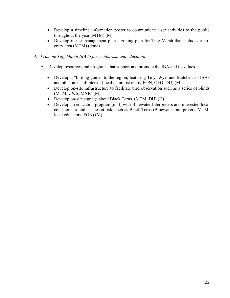- Develop a timeline information poster to communicate user activities to the public throughout the year (MTM) (M)
- Develop in the management plan a zoning plan for Tiny Marsh that includes a noentry area (MTM) (done)

## *4. Promote Tiny Marsh IBA to for ecotourism and education*

- A. Develop resources and programs that support and promote the IBA and its values
	- Develop a "birding guide" to the region, featuring Tiny, Wye, and Matchedash IBAs and other areas of interest (local naturalist clubs, FON, OFO, DU) (M)
	- Develop on-site infrastructure to facilitate bird observation such as a series of blinds (MTM, CWS, MNR) (M)
	- Develop on-site signage about Black Terns. (MTM, DU) (H)
	- Develop an education program (unit) with Bluewater Interpreters and interested local educators around species at risk, such as Black Terns (Bluewater Interpreters, MTM, local educators, FON) (M)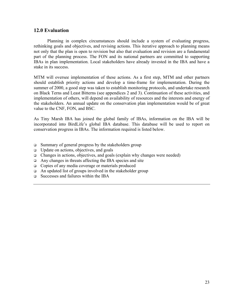## <span id="page-23-0"></span>**12.0 Evaluation**

Planning in complex circumstances should include a system of evaluating progress, rethinking goals and objectives, and revising actions. This iterative approach to planning means not only that the plan is open to revision but also that evaluation and revision are a fundamental part of the planning process. The FON and its national partners are committed to supporting IBAs in plan implementation. Local stakeholders have already invested in the IBA and have a stake in its success.

MTM will oversee implementation of these actions. As a first step, MTM and other partners should establish priority actions and develop a time-frame for implementation. During the summer of 2000, a good step was taken to establish monitoring protocols, and undertake research on Black Terns and Least Bitterns (see appendices 2 and 3). Continuation of these activities, and implementation of others, will depend on availability of resources and the interests and energy of the stakeholders. An annual update on the conservation plan implementation would be of great value to the CNF, FON, and BSC.

As Tiny Marsh IBA has joined the global family of IBAs, information on the IBA will be incorporated into BirdLife's global IBA database. This database will be used to report on conservation progress in IBAs. The information required is listed below.

- $\Box$  Summary of general progress by the stakeholders group
- $\Box$  Update on actions, objectives, and goals
- $\Box$  Changes in actions, objectives, and goals (explain why changes were needed)
- $\Box$  Any changes in threats affecting the IBA species and site
- □ Copies of any media coverage or materials produced
- $\Box$  An updated list of groups involved in the stakeholder group
- Successes and failures within the IBA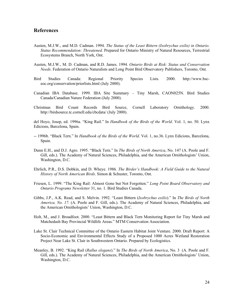## <span id="page-24-0"></span>**References**

- Austen, M.J.W., and M.D. Cadman. 1994. *The Status of the Least Bittern (Ixobrychus exilis) in Ontario. Status Recommendation: Threatened.* Prepared for Ontario Ministry of Natural Resources, Terrestrial Ecosystems Branch, North York, Ont.
- Austen, M.J.W., M. D. Cadman, and R.D. James. 1994*. Ontario Birds at Risk: Status and Conservation Needs*. Federation of Ontario Naturalists and Long Point Bird Observatory Publishers, Toronto, Ont.
- Bird Studies Canada: Regional Priority Species Lists. 2000. http://www.bsceoc.org/conservation/priorlists.html (July 2000).
- Canadian IBA Database. 1999. IBA Site Summary Tiny Marsh, CAON025N. Bird Studies Canada/Canadian Nature Federation (July 2000).
- Christmas Bird Count Records Bird Source, Cornell Laboratory Ornithology. 2000. http://birdsource.tc.cornell.edu/cbcdata/ (July 2000).

del Hoyo, Josep, ed. 1996a. "King Rail." In *Handbook of the Birds of the World*. Vol. 1, no. 50. Lynx Edicions, Barcelona, Spain.

- -- 1996b. "Black Tern." In *Handbook of the Birds of the World*. Vol. 1, no.36. Lynx Edicions, Barcelona, Spain.
- Dunn E.H., and D.J. Agro. 1995. "Black Tern." In *The Birds of North America*, No. 147 (A. Poole and F. Gill, eds.). The Academy of Natural Sciences, Philadelphia, and the American Ornithologists' Union, Washington, D.C.
- Ehrlich, P.R., D.S. Dobkin, and D. Wheye. 1986*. The Birder's Handbook: A Field Guide to the Natural History of North American Birds*. Simon & Schuster, Toronto, Ont.
- Friesen, L. 1999. "The King Rail: Almost Gone but Not Forgotten." *Long Point Board Observatory and Ontario Programs Newsletter* 31, no. 1. Bird Studies Canada.
- Gibbs, J.P., A.K. Read, and S. Melvin. 1992. "Least Bittern (*Ixobrychus exilis*)." In *The Birds of North America, No. 17.* (A. Poole and F. Gill, eds.). The Academy of Natural Sciences, Philadelphia, and the American Ornithologists' Union, Washington, D.C.
- Holt, M., and J. Broadfoot. 2000. "Least Bittern and Black Tern Monitoring Report for Tiny Marsh and Matchedash Bay Provincial Wildlife Areas." MTM Conservation Association.
- Lake St. Clair Technical Committee of the Ontario Eastern Habitat Joint Venture. 2000. Draft Report: A Socio-Economic and Environmental Effects Study of a Proposed 1000 Acres Wetland Restoration Project Near Lake St. Clair in Southwestern Ontario. Prepared by Ecologistics.
- Meanley, B. 1992. "King Rail (*Rallus elegans*)." In *The Birds of North America*, No. 3 (A. Poole and F. Gill, eds.). The Academy of Natural Sciences, Philadelphia, and the American Ornithologists' Union, Washington, D.C.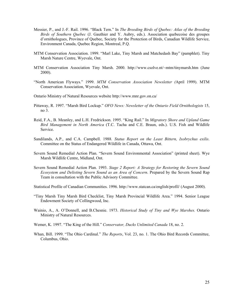- Messier, P., and J.-F. Rail. 1996. "Black Tern." In *The Breeding Birds of Quebec: Atlas of the Breeding Birds of Southern Quebec* (J. Gauthier and Y. Aubry, eds.). Association quebecoise des groupes d'ornithologues, Province of Quebec, Society for the Protection of Birds, Canadian Wildlife Service, Environment Canada, Quebec Region, Montreal, P.Q.
- MTM Conservation Association. 1999. "Marl Lake, Tiny Marsh and Matchedash Bay" (pamphlet). Tiny Marsh Nature Centre, Wyevale, Ont.
- MTM Conservation Association Tiny Marsh. 2000. http://www.csolve.nt/~mtm/tinymarsh.htm (June 2000).
- "North American Flyways." 1999. *MTM Conservation Association Newsletter (*April 1999). MTM Conservation Association, Wyevale, Ont.
- Ontario Ministry of Natural Resources website http://www.mnr.gov.on.ca/
- Pittaway, R. 1997. "Marsh Bird Lockup." *OFO News: Newsletter of the Ontario Field Ornithologists* 15, no 3.
- Reid, F.A., B. Meanley, and L.H. Fredrickson. 1995. "King Rail." In *Migratory Shore and Upland Game Bird Management in North America* (T.C. Tacha and C.E. Braun, eds.). U.S. Fish and Wildlife Service.
- Sandilands, A.P., and C.A. Campbell. 1988*. Status Report on the Least Bittern, Ixobrychus exilis*. Committee on the Status of Endangered Wildlife in Canada, Ottawa, Ont.
- Severn Sound Remedial Action Plan. "Severn Sound Environmental Association" (printed sheet). Wye Marsh Wildlife Centre, Midland, Ont.
- Severn Sound Remedial Action Plan. 1993. *Stage 2 Report: A Strategy for Restoring the Severn Sound Ecosystem and Delisting Severn Sound as an Area of Concern*. Prepared by the Severn Sound Rap Team in consultation with the Public Advisory Committee.
- Statistical Profile of Canadian Communities. 1996. http://www.statcan.ca/english/profil/ (August 2000).
- "Tiny Marsh Tiny Marsh Bird Checklist, Tiny Marsh Provincial Wildlife Area." 1994. Senior League Endowment Society of Collingwood, Inc.
- Wainio, A., A. O'Donnell, and B.Chesnie. 1973. *Historical Study of Tiny and Wye Marshes.* Ontario Ministry of Natural Resources.
- Wemer, K. 1997. "The King of the Hill." *Conservator, Ducks Unlimited Canada* 18, no. 2.
- Whan, Bill. 1999. "The Ohio Cardinal." *The Reports*, Vol. 23, no. 1. The Ohio Bird Records Committee, Columbus, Ohio.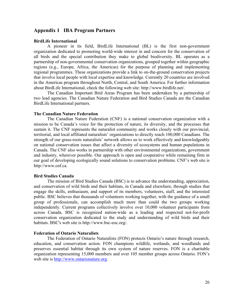## <span id="page-26-0"></span>**Appendix 1 IBA Program Partners**

#### **BirdLife International**

A pioneer in its field, BirdLife International (BL) is the first non-government organization dedicated to promoting world-wide interest in and concern for the conservation of all birds and the special contribution they make to global biodiversity. BL operates as a partnership of non-governmental conservation organizations, grouped together within geographic regions (e.g., Europe, Africa, the Americas) for the purpose of planning and implementing regional programmes. These organizations provide a link to on-the-ground conservation projects that involve local people with local expertise and knowledge. Currently 20 countries are involved in the Americas program throughout North, Central, and South America. For further information about BirdLife International, check the following web site: http://www.birdlife.net/.

The Canadian Important Bird Areas Program has been undertaken by a partnership of two lead agencies. The Canadian Nature Federation and Bird Studies Canada are the Canadian BirdLife International partners.

#### **The Canadian Nature Federation**

The Canadian Nature Federation (CNF) is a national conservation organization with a mission to be Canada's voice for the protection of nature, its diversity, and the processes that sustain it. The CNF represents the naturalist community and works closely with our provincial, territorial, and local affiliated naturalists' organizations to directly reach 100,000 Canadians. The strength of our grass-roots naturalists' network allows us to work effectively and knowledgeably on national conservation issues that affect a diversity of ecosystems and human populations in Canada. The CNF also works in partnership with other environmental organizations, government and industry, wherever possible. Our approach is open and cooperative while remaining firm in our goal of developing ecologically sound solutions to conservation problems. CNF's web site is http://www.cnf.ca.

## **Bird Studies Canada**

The mission of Bird Studies Canada (BSC) is to advance the understanding, appreciation, and conservation of wild birds and their habitats, in Canada and elsewhere, through studies that engage the skills, enthusiasm, and support of its members, volunteers, staff, and the interested public. BSC believes that thousands of volunteers working together, with the guidance of a small group of professionals, can accomplish much more than could the two groups working independently. Current programs collectively involve over 10,000 volunteer participants from across Canada. BSC is recognized nation-wide as a leading and respected not-for-profit conservation organization dedicated to the study and understanding of wild birds and their habitats. BSC's web site is http://www.bsc-eoc.org/.

#### **Federation of Ontario Naturalists**

The Federation of Ontario Naturalists (FON) protects Ontario's nature through research, education, and conservation action. FON champions wildlife, wetlands, and woodlands and preserves essential habitat through its own system of nature reserves. FON is a charitable organization representing 15,000 members and over 105 member groups across Ontario. FON's web site is [http://www.ontarionature.org.](http://www.ontarionature.org/)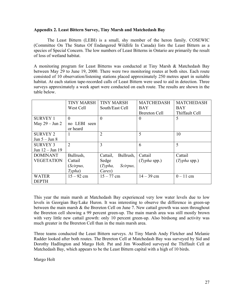## <span id="page-27-0"></span>**Appendix 2. Least Bittern Survey, Tiny Marsh and Matchedash Bay**

The Least Bittern (LEBI) is a small, shy member of the heron family. COSEWIC (Committee On The Status Of Endangered Wildlife In Canada) lists the Least Bittern as a species of Special Concern. The low numbers of Least Bitterns in Ontario are primarily the result of loss of wetland habitat.

A monitoring program for Least Bitterns was conducted at Tiny Marsh & Matchedash Bay between May 29 to June 19, 2000. There were two monitoring routes at both sites. Each route consisted of 10 observation/listening stations placed approximately 250 metres apart in suitable habitat. At each station tape-recorded calls of Least Bittern were used to aid in detection. Three surveys approximately a week apart were conducted on each route. The results are shown in the table below.

|                          | <b>TINY MARSH</b> | <b>TINY MARSH</b>     | <b>MATCHEDASH</b>    | <b>MATCHEDASH</b> |
|--------------------------|-------------------|-----------------------|----------------------|-------------------|
|                          | West Cell         | South/East Cell       | <b>BAY</b>           | <b>BAY</b>        |
|                          |                   |                       | <b>Brereton Cell</b> | Thiffault Cell    |
| <b>SURVEY 1</b>          | $\Omega$          | $\Omega$              | $\theta$             | 5                 |
| May $29 - \text{Jun } 2$ | no LEBI seen      |                       |                      |                   |
|                          | or heard          |                       |                      |                   |
| <b>SURVEY 2</b>          |                   | $\overline{2}$        | 5                    | 10                |
| Jun $5 -$ Jun $8$        |                   |                       |                      |                   |
| <b>SURVEY 3</b>          | $\overline{2}$    | 3                     | 6                    | 5                 |
| Jun 12 - Jun 19          |                   |                       |                      |                   |
| <b>DOMINANT</b>          | Bullrush,         | Bullrush,<br>Cattail, | Cattail              | Cattail           |
| <b>VEGETATION</b>        | Cattail           | Sedge                 | $(Typha$ spp.)       | $(Typha$ spp.)    |
|                          | (Scirpus,         | (Typha,<br>Scirpus,   |                      |                   |
|                          | Typha)            | Carex)                |                      |                   |
| <b>WATER</b>             | $15 - 92$ cm      | $15 - 77$ cm          | $14 - 39$ cm         | $0 - 11$ cm       |
| <b>DEPTH</b>             |                   |                       |                      |                   |

This year the main marsh at Matchedash Bay experienced very low water levels due to low levels in Georgian Bay/Lake Huron. It was interesting to observe the difference in green-up between the main marsh & the Brereton Cell on June 7. New cattail growth was seen throughout the Brereton cell showing a 99 percent green-up. The main marsh area was still mostly brown with very little new cattail growth: only 10 percent green-up. Also birdsong and activity was much greater in the Brereton Cell than in the main marsh area.

Three teams conducted the Least Bittern surveys. At Tiny Marsh Andy Fletcher and Melanie Radder looked after both routes. The Brereton Cell at Matchedash Bay was surveyed by Sid and Dorothy Hadlington and Margo Holt. Pat and Jim Woodford surveyed the Thiffault Cell at Matchedash Bay, which appears to be the Least Bittern capital with a high of 10 birds.

Margo Holt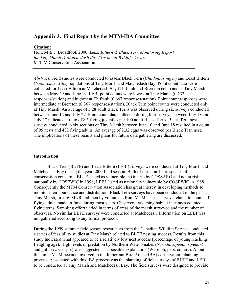## **Appendix 3. Final Report by the MTM-IBA Committee**

#### **Citation:**

Holt, M & J. Broadfoot. 2000. *Least Bittern & Black Tern Monitoring Report for Tiny Marsh & Matchedash Bay Provincial Wildlife Areas.* M-T-M Conservation Association

*Abstract*: Field studies were conducted to assess Black Tern (*Chlidonias niger*) and Least Bittern (*Ixobrychus exilis*) populations at Tiny Marsh and Matchedash Bay. Point count data were collected for Least Bittern at Matchedash Bay (Thiffault and Brereton cells) and at Tiny Marsh between May 29 and June 19. LEBI point counts were lowest at Tiny Marsh (0.133 responses/station) and highest at Thiffault (0.667 responses/station). Point count responses were intermediate at Brereton (0.367 responses/station). Black Tern point counts were conducted only at Tiny Marsh. An average of 5.28 adult Black Terns was observed during six surveys conducted between June 12 and July 27. Point count data collected during four surveys between July 18 and July 27 indicated a ratio of 8.5 flying juveniles per 100 adult Black Terns. Black Tern nest surveys conducted in six sections of Tiny Marsh between June 10 and June 18 resulted in a count of 95 nests and 432 flying adults. An average of 2.32 eggs was observed per Black Tern nest. The implications of these results and plans for future data gathering are discussed.

#### **Introduction**

Black Tern (BLTE) and Least Bittern (LEBI) surveys were conducted at Tiny Marsh and Matchedash Bay during the year 2000 field season. Both of these birds are species of conservation concern – BLTE, listed as vulnerable in Ontario by COSSARO and not at risk nationally by COSEWIC in 1996; LEBI, listed as nationally vulnerable by COSEWIC in 1988. Consequently the MTM Conservation Association has great interest in developing methods to monitor their abundance and distribution. Black Tern surveys have been conducted in the past at Tiny Marsh, first by MNR and then by volunteers from MTM. These surveys related to counts of flying adults made in June during most years. Observers traversing habitat in canoes counted flying terns. Sampling effort varied in terms of areas of the marsh surveyed and the number of observers. No similar BLTE surveys were conducted at Matchedash. Information on LEBI was not gathered according to any formal protocol.

During the 1999 summer field season researchers from the Canadian Wildlife Service conducted a series of feasibility studies at Tiny Marsh related to BLTE nesting success. Results from this study indicated what appeared to be a relatively low nest success (percentage of young reaching fledgling age). High levels of predation by Northern Water Snakes (*Nerodia sipedon sipedon*) and gulls (*Larus* spp.) was suggested as a possible explanation (Weseloh, pers. comm*.*). About this time, MTM became involved in the Important Bird Areas (IBA) conservation planning process. Associated with this IBA process was the planning of field surveys of BLTE and LEBI to be conducted at Tiny Marsh and Matchedash Bay. The field surveys were designed to provide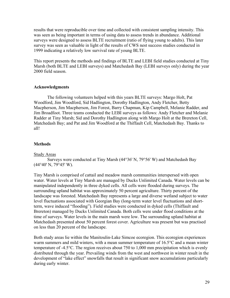results that were reproducible over time and collected with consistent sampling intensity. This was seen as being important in terms of using data to assess trends in abundance. Additional surveys were designed to assess BLTE recruitment (ratio of flying young to adults). This later survey was seen as valuable in light of the results of CWS nest success studies conducted in 1999 indicating a relatively low survival rate of young BLTE.

This report presents the methods and findings of BLTE and LEBI field studies conducted at Tiny Marsh (both BLTE and LEBI surveys) and Matchedash Bay (LEBI surveys only) during the year 2000 field season.

## **Acknowledgments**

The following volunteers helped with this years BLTE surveys: Margo Holt, Pat Woodford, Jim Woodford, Sid Hadlington, Dorothy Hadlington, Andy Fletcher, Betty Macpherson, Jim Macpherson, Jim Forest, Barry Chapman, Kip Campbell, Melanie Radder, and Jim Broadfoot. Three teams conducted the LEBI surveys as follows: Andy Fletcher and Melanie Radder at Tiny Marsh; Sid and Dorothy Hadlington along with Margo Holt at the Brereton Cell, Matchedash Bay; and Pat and Jim Woodford at the Thiffault Cell, Matchedash Bay. Thanks to all!

## **Methods**

## Study Areas

Surveys were conducted at Tiny Marsh (44°36' N, 79°56' W) and Matchedash Bay (44°40' N, 79°45' W).

Tiny Marsh is comprised of cattail and meadow marsh communities interspersed with open water. Water levels at Tiny Marsh are managed by Ducks Unlimited Canada. Water levels can be manipulated independently in three dyked cells. All cells were flooded during surveys. The surrounding upland habitat was approximately 50 percent agriculture. Thirty percent of the landscape was forested. Matchedash Bay represents a large and diverse wetland subject to water level fluctuations associated with Georgian Bay (long-term water level fluctuations and shortterm, wave induced "flooding"). Field studies were conducted in dyked cells (Thiffault and Brereton) managed by Ducks Unlimited Canada. Both cells were under flood conditions at the time of surveys. Water levels in the main marsh were low. The surrounding upland habitat at Matchedash presented about 50 percent forest cover. Agriculture was present but was practised on less than 20 percent of the landscape.

Both study areas lie within the Manitoulin-Lake Simcoe ecoregion. This ecoregion experiences warm summers and mild winters, with a mean summer temperature of 16.5°C and a mean winter temperature of -4.5°C. The region receives about 750 to 1,000 mm precipitation which is evenly distributed through the year. Prevailing winds from the west and northwest in winter result in the development of "lake effect" snowfalls that result in significant snow accumulations particularly during early winter.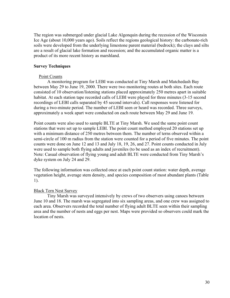The region was submerged under glacial Lake Algonquin during the recession of the Wisconsin Ice Age (about 10,000 years ago). Soils reflect the regions geological history: the carbonate-rich soils were developed from the underlying limestone parent material (bedrock); the clays and silts are a result of glacial lake formation and recession; and the accumulated organic matter is a product of its more recent history as marshland.

## **Survey Techniques**

## Point Counts

A monitoring program for LEBI was conducted at Tiny Marsh and Matchedash Bay between May 29 to June 19, 2000. There were two monitoring routes at both sites. Each route consisted of 10 observation/listening stations placed approximately 250 metres apart in suitable habitat. At each station tape recorded calls of LEBI were played for three minutes (3-15 second recordings of LEBI calls separated by 45 second intervals). Call responses were listened for during a two-minute period. The number of LEBI seen or heard was recorded. Three surveys, approximately a week apart were conducted on each route between May 29 and June 19.

Point counts were also used to sample BLTE at Tiny Marsh. We used the same point count stations that were set up to sample LEBI. The point count method employed 20 stations set up with a minimum distance of 250 metres between them. The number of terns observed within a semi-circle of 100 m radius from the station were counted for a period of five minutes. The point counts were done on June 12 and 13 and July 18, 19, 26, and 27. Point counts conducted in July were used to sample both flying adults and juveniles (to be used as an index of recruitment). Note: Casual observation of flying young and adult BLTE were conducted from Tiny Marsh's dyke system on July 24 and 29.

The following information was collected once at each point count station: water depth, average vegetation height, average stem density, and species composition of most abundant plants (Table 1).

## Black Tern Nest Survey

Tiny Marsh was surveyed intensively by crews of two observers using canoes between June 10 and 18. The marsh was segregated into six sampling areas, and one crew was assigned to each area. Observers recorded the total number of flying adult BLTE seen within their sampling area and the number of nests and eggs per nest. Maps were provided so observers could mark the location of nests.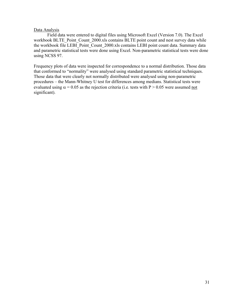## Data Analysis

Field data were entered to digital files using Microsoft Excel (Version 7.0). The Excel workbook BLTE\_Point\_Count\_2000.xls contains BLTE point count and nest survey data while the workbook file LEBI Point Count 2000.xls contains LEBI point count data. Summary data and parametric statistical tests were done using Excel. Non-parametric statistical tests were done using NCSS 97.

Frequency plots of data were inspected for correspondence to a normal distribution. Those data that conformed to "normality" were analysed using standard parametric statistical techniques. Those data that were clearly not normally distributed were analysed using non-parametric procedures – the Mann-Whitney U test for differences among medians. Statistical tests were evaluated using  $\alpha$  = 0.05 as the rejection criteria (i.e. tests with P > 0.05 were assumed not significant).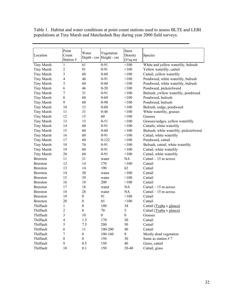|                   | Point          | Water            | Vegetation             | Stem                       |                                        |  |
|-------------------|----------------|------------------|------------------------|----------------------------|----------------------------------------|--|
| Location          | Count          |                  | Depth - cm Height - cm | Density                    | Species                                |  |
|                   | Station #      |                  |                        | $(\frac{\#}{\text{sq.m}})$ |                                        |  |
| Tiny Marsh        | 1              | 61               | $0 - 91$               | < 100                      | White and yellow waterlily, bulrush    |  |
| <b>Tiny Marsh</b> | $\overline{2}$ | 91               | $0 - 91$               | < 100                      | Yellow waterlily, cattail              |  |
| <b>Tiny Marsh</b> | 3              | 60               | $0 - 60$               | < 100                      | Cattail, yellow waterlily              |  |
| <b>Tiny Marsh</b> | 4              | 46               | $0 - 91$               | < 100                      | Pondweed, white waterlily, bulrush     |  |
| <b>Tiny Marsh</b> | 5              | 60               | $0 - 60$               | < 100                      | Pondweed, white waterlily, bulrush     |  |
| Tiny Marsh        | 6              | 46               | $0 - 20$               | < 100                      | Pondweed, pickerelweed                 |  |
| <b>Tiny Marsh</b> | $\overline{7}$ | 31               | $0 - 91$               | < 100                      | Bulrush, ywllow waterlily, pondweed    |  |
| <b>Tiny Marsh</b> | $8\,$          | 60               | $0 - 60$               | < 100                      | Pondweed, bulrush                      |  |
| <b>Tiny Marsh</b> | 9              | 60               | $0 - 90$               | < 100                      | Pondweed, bulrush                      |  |
| <b>Tiny Marsh</b> | 10             | 15               | $0 - 60$               | < 100                      | Bulrush, sedge, pondweed               |  |
| <b>Tiny Marsh</b> | 11             | 31               | $0 - 46$               | < 100                      | White waterlily, grasses               |  |
| <b>Tiny Marsh</b> | 12             | 15               | 60                     | >100                       | Grasses                                |  |
| <b>Tiny Marsh</b> | 13             | 15               | $0 - 51$               | < 100                      | Grasses/sedges, yellow waterlilly      |  |
| <b>Tiny Marsh</b> | 14             | 60               | $0 - 91$               | < 100                      | Cattails, white waterlily              |  |
| <b>Tiny Marsh</b> | 15             | 60               | $0 - 60$               | < 100                      | Bulrush, white waterlily, pickerelweed |  |
| <b>Tiny Marsh</b> | 16             | 60               | $0 - 91$               | < 100                      | Cattail, white waterlily               |  |
| <b>Tiny Marsh</b> | 17             | 60               | $0 - 122$              | < 100                      | Pondweed, cattail                      |  |
| Tiny Marsh        | 18             | 76               | $0 - 91$               | < 100                      | Bulrush, cattail, white waterlily      |  |
| <b>Tiny Marsh</b> | 19             | 60               | $0 - 91$               | < 100                      | Cattail, white waterlily               |  |
| <b>Tiny Marsh</b> | 20             | 60               | $0 - 91$               | < 100                      | Cattail, white waterlily               |  |
| <b>Brereton</b>   | 11             | 21               | water                  | NA                         | Cattail $-15$ m across                 |  |
| <b>Brereton</b>   | 12             | 14               | 170                    | >100                       | Cattail                                |  |
| <b>Brereton</b>   | 13             | 14               | 190                    | 62                         | Cattail                                |  |
| <b>Brereton</b>   | 14             | 30               | water                  | >100                       | Cattail                                |  |
| <b>Brereton</b>   | 15             | 39               | water                  | >100                       | Cattail                                |  |
| <b>Brereton</b>   | 16             | 18               | 200                    | >100                       | Cattail                                |  |
| <b>Brereton</b>   | 17             | 18               | water                  | NA                         | Cattail $-15$ m across                 |  |
| <b>Brereton</b>   | 18             | 28               | water                  | NA                         | Cattail $-15$ m across                 |  |
| <b>Brereton</b>   | 19             | $\boldsymbol{0}$ | 91                     | >100                       | Cattail                                |  |
| <b>Brereton</b>   | 20             | $\boldsymbol{0}$ | 65                     | >100                       | Cattail                                |  |
| Thiffault         | 1              | 8                | 100                    | 34                         | Cattail (Typha x glauca)               |  |
| Thiffault         | $\overline{2}$ | 8                | 70                     | 5                          | Cattail (Typha x glauca)               |  |
| Thiffault         | 3              | 10               | $\boldsymbol{0}$       | $\boldsymbol{0}$           | Grasses                                |  |
| Thiffault         | 4              | 1.5              | 170                    | 30                         | Cattail                                |  |
| Thiffault         | 5              | 7.5              | 200                    | 50                         | Cattail                                |  |
| Thiffault         | 6              | 11               | 100-200                | 40                         | Cattail                                |  |
| Thiffault         | 7              | $\boldsymbol{0}$ | 100-160                | 8                          | Mostly dead vegetation                 |  |
| Thiffault         | 8              | $\boldsymbol{0}$ | 150                    | 30                         | Same as station #7                     |  |
| Thiffault         | 9              | 0.5              | 150                    | 40                         | Grass, cattail                         |  |
| Thiffault         | 10             | 0.1              | 150                    | 20-40                      | Cattail, grass                         |  |

Table 1. Habitat and water conditions at point count stations used to assess BLTE and LEBI populations at Tiny Marsh and Matchedash Bay during year 2000 field surveys.

 $\mathcal{L}(\mathcal{L})$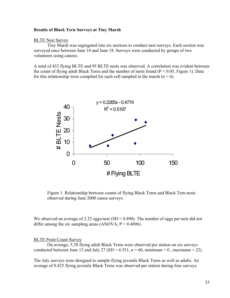#### **Results of Black Tern Surveys at Tiny Marsh**

#### BLTE Nest Survey

Tiny Marsh was segregated into six sections to conduct nest surveys. Each section was surveyed once between June 10 and June 18. Surveys were conducted by groups of two volunteers using canoes.

A total of 432 flying BLTE and 95 BLTE nests was observed. A correlation was evident between the count of flying adult Black Terns and the number of nests found  $(P < 0.05$ , Figure 1). Data for this relationship were compiled for each cell sampled in the marsh  $(n = 6)$ .



Figure 1. Relationship between counts of flying Black Terns and Black Tern nests observed during June 2000 canoe surveys.

We observed an average of 2.32 eggs/nest  $(SD = 0.890)$ . The number of eggs per nest did not differ among the six sampling areas (ANOVA,  $P = 0.4896$ ).

#### BLTE Point Count Survey

On average, 5.28 flying adult Black Terns were observed per station on six surveys conducted between June 12 and July 27 (SD = 4.551, n = 60, minimum = 0, maximum = 22).

The July surveys were designed to sample flying juvenile Black Terns as well as adults. An average of 0.425 flying juvenile Black Terns was observed per station during four surveys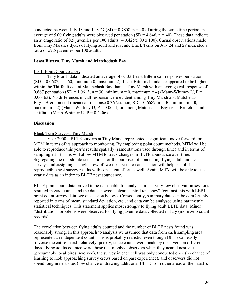conducted between July 18 and July 27 (SD =  $0.7808$ , n = 40). During the same time period an average of 5.00 flying adults were observed per station (SD = 4.646,  $n = 40$ ). These data indicate an average ratio of 8.5 juveniles per 100 adults  $(= 0.425/5.00 \times 100)$ . Casual observations made from Tiny Marshes dykes of flying adult and juvenile Black Terns on July 24 and 29 indicated a ratio of 52.5 juveniles per 100 adults.

## **Least Bittern, Tiny Marsh and Matchedash Bay**

## LEBI Point Count Survey

Tiny Marsh data indicated an average of 0.133 Least Bittern call responses per station  $(SD = 0.6687, n = 60, \text{ minimum } 0, \text{ maximum } 2)$ . Least Bittern abundance appeared to be higher within the Thiffault cell at Matchedash Bay than at Tiny Marsh with an average call response of 0.667 per station (SD = 1.0613, n = 30, minimum = 0, maximum = 4) (Mann-Whitney U, P = 0.00163). No differences in call response were evident among Tiny Marsh and Matchedash Bay's Brereton cell (mean call response  $0.367/\text{station}$ , SD =  $0.6687$ , n = 30, minimum = 0, maximum = 2) (Mann-Whitney U,  $P = 0.0654$ ) or among Matchedash Bay cells, Brereton, and Thiffault (Mann-Whitney U,  $P = 0.2406$ ).

## **Discussion**

## Black Tern Surveys, Tiny Marsh

Year 2000's BLTE surveys at Tiny Marsh represented a significant move forward for MTM in terms of its approach to monitoring. By employing point count methods, MTM will be able to reproduce this year's results spatially (same stations used through time) and in terms of sampling effort. This will allow MTM to track changes in BLTE abundance over time. Segregating the marsh into six sections for the purposes of conducting flying adult and nest surveys and assigning a single crew of two observers to each section will help establish reproducible nest survey results with consistent effort as well. Again, MTM will be able to use yearly data as an index to BLTE nest abundance.

BLTE point count data proved to be reasonable for analysis in that very few observation sessions resulted in zero counts and the data showed a clear "central tendency" (contrast this with LEBI point count survey data, see discussion below). Consequently, summary data can be comfortably reported in terms of mean, standard deviation, etc., and data can be analysed using parametric statistical techniques. This statement applies most strongly to flying adult BLTE data. Minor "distribution" problems were observed for flying juvenile data collected in July (more zero count records).

The correlation between flying adults counted and the number of BLTE nests found was reasonably strong. In this approach to analysis we assumed that data from each sampling area represented an independent count. This is probably realistic, even though BLTE can easily traverse the entire marsh relatively quickly, since counts were made by observers on different days, flying adults counted were those that mobbed observers when they neared nest sites (presumably local birds involved), the survey in each cell was only conducted once (no chance of learning to mob approaching survey crews based on past experience), and observers did not spend long in nest sites (low chance of drawing additional BLTE from other areas of the marsh).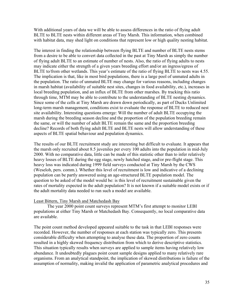With additional years of data we will be able to assess differences in the ratio of flying adult BLTE to BLTE nests within different areas of Tiny Marsh. This information, when combined with habitat data, may shed light on conditions that represent low or high quality nesting habitat.

The interest in finding the relationship between flying BLTE and number of BLTE nests stems from a desire to be able to convert data collected in the past at Tiny Marsh as simply the number of flying adult BLTE to an estimate of number of nests. Also, the ratio of flying adults to nests may indicate either the strength of a given years breeding effort and/or an ingress/egress of BLTE to/from other wetlands. This year's estimate of the ratio of flying BLTE to nests was 4.55. The implication is that, like in most bird populations, there is a large pool of unmated adults in the population. The ratio of unmated BLTE may change for various reasons, including changes in marsh habitat (availability of suitable nest sites, changes in food availability, etc.), increases in local breeding population, and an influx of BLTE from other marshes. By tracking this ratio through time, MTM may be able to contribute to the understanding of BLTE nesting dynamics. Since some of the cells at Tiny Marsh are drawn down periodically, as part of Ducks Unlimited long-term marsh management, conditions exist to evaluate the response of BLTE to reduced nest site availability. Interesting questions emerge: Will the number of adult BLTE occupying the marsh during the breeding season decline and the proportion of the population breeding remain the same, or will the number of adult BLTE remain the same and the proportion breeding decline? Records of both flying adult BLTE and BLTE nests will allow understanding of these aspects of BLTE spatial behaviour and population dynamics.

The results of our BLTE recruitment study are interesting but difficult to evaluate. It appears that the marsh only recruited about 8.5 juveniles per every 100 adults into the population in mid-July 2000. With no comparative data, little can be made of this statistic other than to infer relatively heavy losses of BLTE during the egg stage, newly hatched stage, and/or pre-flight stage. This heavy loss was indicated during 1999 field surveys conducted at Tiny Marsh by the CWS (Weseloh, pers. comm*.*). Whether this level of recruitment is low and indicative of a declining population can be partly answered using an age-structured BLTE population model. The question to be asked of the model would be: is this level of recruitment sustainable given the rates of mortality expected in the adult population? It is not known if a suitable model exists or if the adult mortality data needed to run such a model are available.

## Least Bittern, Tiny Marsh and Matchedash Bay

The year 2000 point count surveys represent MTM's first attempt to monitor LEBI populations at either Tiny Marsh or Matchedash Bay. Consequently, no local comparative data are available.

The point count method developed appeared suitable to the task in that LEBI responses were recorded. However, the number of responses at each station was typically zero. This presents considerable difficulty when attempting to analyse these data. The proportion of zero counts resulted in a highly skewed frequency distribution from which to derive descriptive statistics. This situation typically results when surveys are applied to sample items having relatively low abundance. It undoubtedly plagues point count sample designs applied to many relatively rare organisms. From an analytical standpoint, the implication of skewed distributions is failure of the assumption of normality, making invalid the application of parametric analytical procedures and